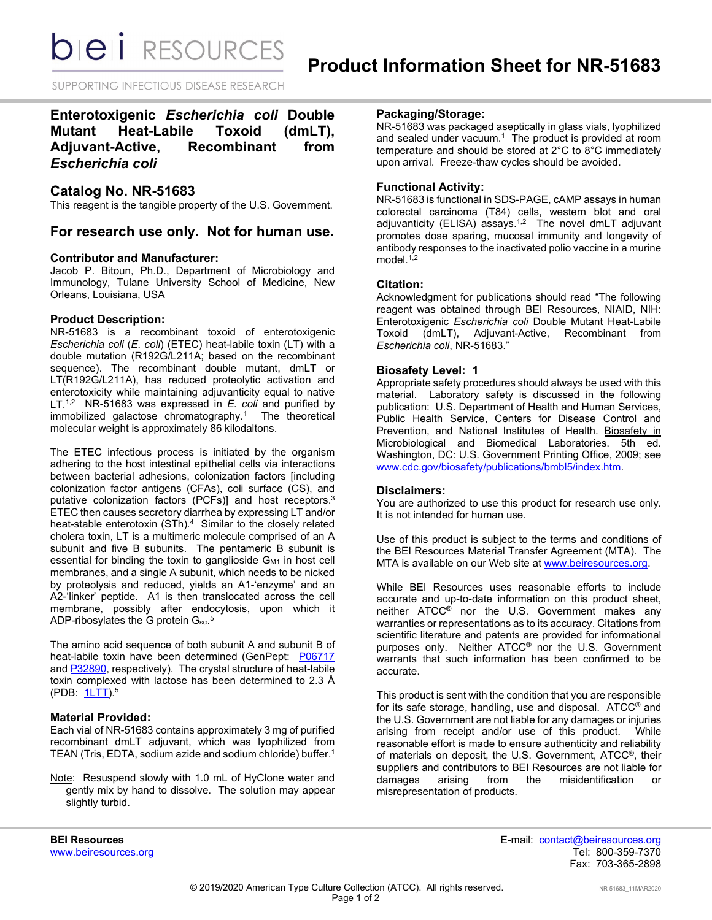*DIEI RESOURCES* 

SUPPORTING INFECTIOUS DISEASE RESEARCH

# **Enterotoxigenic** *Escherichia coli* **Double Mutant Heat-Labile Toxoid (dmLT), Adjuvant-Active, Recombinant from**  *Escherichia coli*

## **Catalog No. NR-51683**

This reagent is the tangible property of the U.S. Government.

## **For research use only. Not for human use.**

#### **Contributor and Manufacturer:**

Jacob P. Bitoun, Ph.D., Department of Microbiology and Immunology, Tulane University School of Medicine, New Orleans, Louisiana, USA

#### **Product Description:**

NR-51683 is a recombinant toxoid of enterotoxigenic *Escherichia coli* (*E. coli*) (ETEC) heat-labile toxin (LT) with a double mutation (R192G/L211A; based on the recombinant sequence). The recombinant double mutant, dmLT or LT(R192G/L211A), has reduced proteolytic activation and enterotoxicity while maintaining adjuvanticity equal to native LT. 1,2 NR-51683 was expressed in *E. coli* and purified by immobilized galactose chromatography. <sup>1</sup> The theoretical molecular weight is approximately 86 kilodaltons.

The ETEC infectious process is initiated by the organism adhering to the host intestinal epithelial cells via interactions between bacterial adhesions, colonization factors [including colonization factor antigens (CFAs), coli surface (CS), and putative colonization factors (PCFs)] and host receptors.3 ETEC then causes secretory diarrhea by expressing LT and/or heat-stable enterotoxin (STh).<sup>4</sup> Similar to the closely related cholera toxin, LT is a multimeric molecule comprised of an A subunit and five B subunits. The pentameric B subunit is essential for binding the toxin to ganglioside  $G_{M1}$  in host cell membranes, and a single A subunit, which needs to be nicked by proteolysis and reduced, yields an A1-'enzyme' and an A2-'linker' peptide. A1 is then translocated across the cell membrane, possibly after endocytosis, upon which it <code>ADP-ribosylates</code> the G protein  $\mathsf{G}_{\text{sa}}$ . $^{5}$ 

The amino acid sequence of both subunit A and subunit B of heat-labile toxin have been determined (GenPept: [P06717](https://www.ncbi.nlm.nih.gov/protein/P06717) an[d P32890,](https://www.ncbi.nlm.nih.gov/protein/P32890) respectively). The crystal structure of heat-labile toxin complexed with lactose has been determined to 2.3 Å (PDB: [1LTT\)](https://www.rcsb.org/structure/1LTT).5

### **Material Provided:**

Each vial of NR-51683 contains approximately 3 mg of purified recombinant dmLT adjuvant, which was lyophilized from TEAN (Tris, EDTA, sodium azide and sodium chloride) buffer.1

Note: Resuspend slowly with 1.0 mL of HyClone water and gently mix by hand to dissolve. The solution may appear slightly turbid.

## **Packaging/Storage:**

NR-51683 was packaged aseptically in glass vials, lyophilized and sealed under vacuum.<sup>1</sup> The product is provided at room temperature and should be stored at 2°C to 8°C immediately upon arrival. Freeze-thaw cycles should be avoided.

#### **Functional Activity:**

NR-51683 is functional in SDS-PAGE, cAMP assays in human colorectal carcinoma (T84) cells, western blot and oral adjuvanticity (ELISA) assays.<sup>1,2</sup> The novel dmLT adjuvant promotes dose sparing, mucosal immunity and longevity of antibody responses to the inactivated polio vaccine in a murine model.<sup>1,2</sup>

#### **Citation:**

Acknowledgment for publications should read "The following reagent was obtained through BEI Resources, NIAID, NIH: Enterotoxigenic *Escherichia coli* Double Mutant Heat-Labile Toxoid (dmLT), Adjuvant-Active, Recombinant from *Escherichia coli*, NR-51683."

#### **Biosafety Level: 1**

Appropriate safety procedures should always be used with this material. Laboratory safety is discussed in the following publication: U.S. Department of Health and Human Services, Public Health Service, Centers for Disease Control and Prevention, and National Institutes of Health. Biosafety in Microbiological and Biomedical Laboratories. 5th ed. Washington, DC: U.S. Government Printing Office, 2009; see [www.cdc.gov/biosafety/publications/bmbl5/index.htm.](http://www.cdc.gov/biosafety/publications/bmbl5/index.htm)

#### **Disclaimers:**

You are authorized to use this product for research use only. It is not intended for human use.

Use of this product is subject to the terms and conditions of the BEI Resources Material Transfer Agreement (MTA). The MTA is available on our Web site at [www.beiresources.org.](http://www.beiresources.org/)

While BEI Resources uses reasonable efforts to include accurate and up-to-date information on this product sheet, neither ATCC<sup>®</sup> nor the U.S. Government makes any warranties or representations as to its accuracy. Citations from scientific literature and patents are provided for informational purposes only. Neither ATCC® nor the U.S. Government warrants that such information has been confirmed to be accurate.

This product is sent with the condition that you are responsible for its safe storage, handling, use and disposal. ATCC® and the U.S. Government are not liable for any damages or injuries arising from receipt and/or use of this product. While reasonable effort is made to ensure authenticity and reliability of materials on deposit, the U.S. Government, ATCC®, their suppliers and contributors to BEI Resources are not liable for damages arising from the misidentification or misrepresentation of products.

**BEI Resources** E-mail: contact@beiresources.org Fax: 703-365-2898